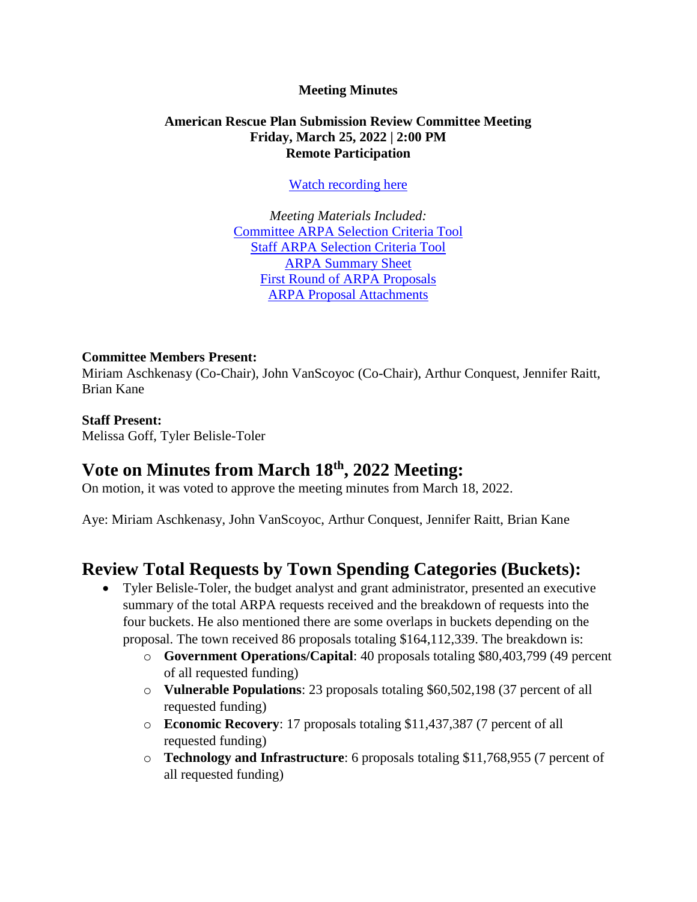#### **Meeting Minutes**

#### **American Rescue Plan Submission Review Committee Meeting Friday, March 25, 2022 | 2:00 PM Remote Participation**

[Watch recording here](https://www.youtube.com/watch?v=5IBiZGqCGQg)

*Meeting Materials Included:* [Committee ARPA Selection Criteria Tool](https://www.brooklinema.gov/DocumentCenter/View/29717/Committee-ARPA-Selection-Criteria-Tool) Staff [ARPA Selection Criteria Tool](https://www.brooklinema.gov/DocumentCenter/View/29716/Staff-ARPA-Selection-Criteria-Tool) [ARPA Summary Sheet](https://www.brooklinema.gov/DocumentCenter/View/30020/ARPA-Proposal-Summary-Sheet) [First Round of ARPA Proposals](https://www.brooklinema.gov/DocumentCenter/View/30022/First-Round---ARPA-Proposal-Submissions) [ARPA Proposal Attachments](https://www.brooklinema.gov/DocumentCenter/Index/2386)

#### **Committee Members Present:**

Miriam Aschkenasy (Co-Chair), John VanScoyoc (Co-Chair), Arthur Conquest, Jennifer Raitt, Brian Kane

#### **Staff Present:**

Melissa Goff, Tyler Belisle-Toler

### **Vote on Minutes from March 18th, 2022 Meeting:**

On motion, it was voted to approve the meeting minutes from March 18, 2022.

Aye: Miriam Aschkenasy, John VanScoyoc, Arthur Conquest, Jennifer Raitt, Brian Kane

### **Review Total Requests by Town Spending Categories (Buckets):**

- Tyler Belisle-Toler, the budget analyst and grant administrator, presented an executive summary of the total ARPA requests received and the breakdown of requests into the four buckets. He also mentioned there are some overlaps in buckets depending on the proposal. The town received 86 proposals totaling \$164,112,339. The breakdown is:
	- o **Government Operations/Capital**: 40 proposals totaling \$80,403,799 (49 percent of all requested funding)
	- o **Vulnerable Populations**: 23 proposals totaling \$60,502,198 (37 percent of all requested funding)
	- o **Economic Recovery**: 17 proposals totaling \$11,437,387 (7 percent of all requested funding)
	- o **Technology and Infrastructure**: 6 proposals totaling \$11,768,955 (7 percent of all requested funding)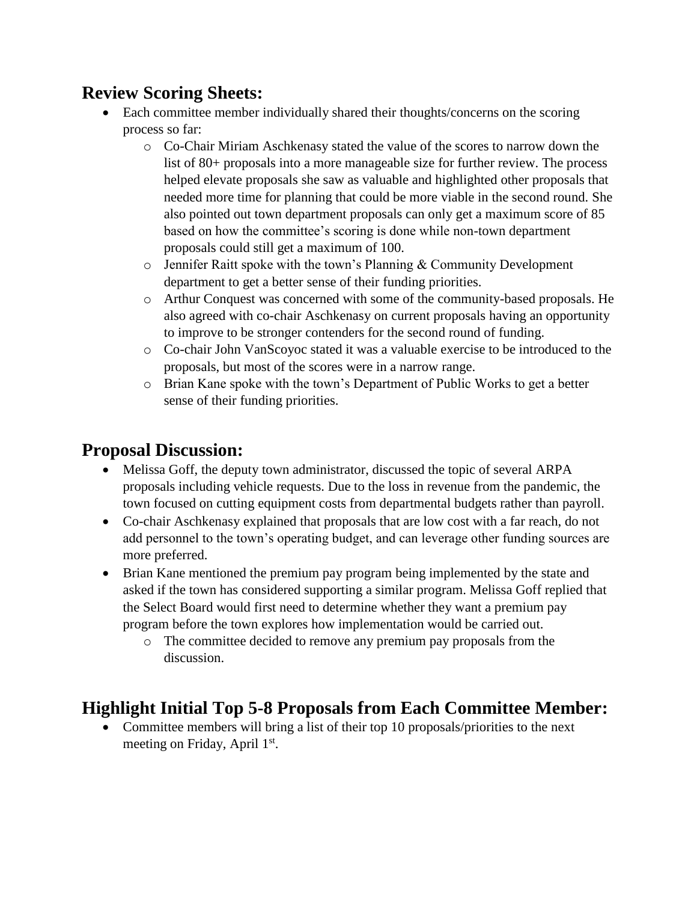# **Review Scoring Sheets:**

- Each committee member individually shared their thoughts/concerns on the scoring process so far:
	- o Co-Chair Miriam Aschkenasy stated the value of the scores to narrow down the list of 80+ proposals into a more manageable size for further review. The process helped elevate proposals she saw as valuable and highlighted other proposals that needed more time for planning that could be more viable in the second round. She also pointed out town department proposals can only get a maximum score of 85 based on how the committee's scoring is done while non-town department proposals could still get a maximum of 100.
	- $\circ$  Jennifer Raitt spoke with the town's Planning & Community Development department to get a better sense of their funding priorities.
	- o Arthur Conquest was concerned with some of the community-based proposals. He also agreed with co-chair Aschkenasy on current proposals having an opportunity to improve to be stronger contenders for the second round of funding.
	- o Co-chair John VanScoyoc stated it was a valuable exercise to be introduced to the proposals, but most of the scores were in a narrow range.
	- o Brian Kane spoke with the town's Department of Public Works to get a better sense of their funding priorities.

## **Proposal Discussion:**

- Melissa Goff, the deputy town administrator, discussed the topic of several ARPA proposals including vehicle requests. Due to the loss in revenue from the pandemic, the town focused on cutting equipment costs from departmental budgets rather than payroll.
- Co-chair Aschkenasy explained that proposals that are low cost with a far reach, do not add personnel to the town's operating budget, and can leverage other funding sources are more preferred.
- Brian Kane mentioned the premium pay program being implemented by the state and asked if the town has considered supporting a similar program. Melissa Goff replied that the Select Board would first need to determine whether they want a premium pay program before the town explores how implementation would be carried out.
	- o The committee decided to remove any premium pay proposals from the discussion.

# **Highlight Initial Top 5-8 Proposals from Each Committee Member:**

• Committee members will bring a list of their top 10 proposals/priorities to the next meeting on Friday, April 1<sup>st</sup>.